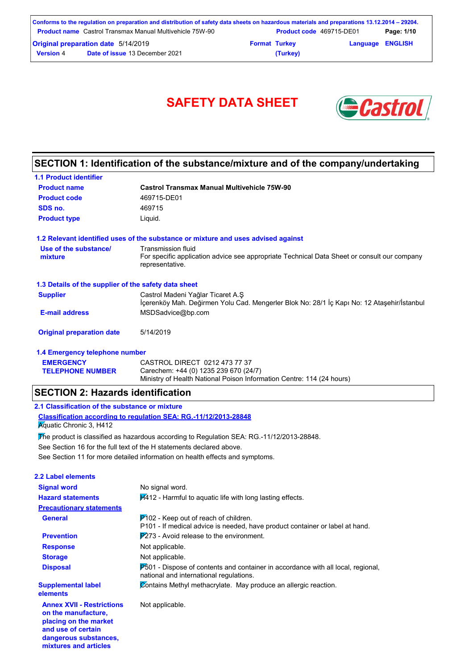|                  | Conforms to the regulation on preparation and distribution of safety data sheets on hazardous materials and preparations 13.12.2014 – 29204. |                      |                          |                         |            |
|------------------|----------------------------------------------------------------------------------------------------------------------------------------------|----------------------|--------------------------|-------------------------|------------|
|                  | <b>Product name</b> Castrol Transmax Manual Multivehicle 75W-90                                                                              |                      | Product code 469715-DE01 |                         | Page: 1/10 |
|                  | <b>Original preparation date 5/14/2019</b>                                                                                                   | <b>Format Turkey</b> |                          | <b>Language ENGLISH</b> |            |
| <b>Version 4</b> | <b>Date of issue 13 December 2021</b>                                                                                                        |                      | (Turkey)                 |                         |            |

# SAFETY DATA SHEET **& Castro**



# **SECTION 1: Identification of the substance/mixture and of the company/undertaking**

| <b>1.1 Product identifier</b>                        |                                                                                                                                      |
|------------------------------------------------------|--------------------------------------------------------------------------------------------------------------------------------------|
| <b>Product name</b>                                  | <b>Castrol Transmax Manual Multivehicle 75W-90</b>                                                                                   |
| <b>Product code</b>                                  | 469715-DE01                                                                                                                          |
| SDS no.                                              | 469715                                                                                                                               |
| <b>Product type</b>                                  | Liquid.                                                                                                                              |
|                                                      | 1.2 Relevant identified uses of the substance or mixture and uses advised against                                                    |
| Use of the substance/<br>mixture                     | Transmission fluid<br>For specific application advice see appropriate Technical Data Sheet or consult our company<br>representative. |
| 1.3 Details of the supplier of the safety data sheet |                                                                                                                                      |
| <b>Supplier</b>                                      | Castrol Madeni Yağlar Ticaret A.Ş<br>İçerenköy Mah. Değirmen Yolu Cad. Mengerler Blok No: 28/1 İç Kapı No: 12 Ataşehir/İstanbul      |
| <b>E-mail address</b>                                | MSDSadvice@bp.com                                                                                                                    |
| <b>Original preparation date</b>                     | 5/14/2019                                                                                                                            |
| 1.4 Emergency telephone number                       |                                                                                                                                      |
| <b>EMERGENCY</b>                                     | CASTROL DIRECT 0212 473 77 37                                                                                                        |

Ministry of Health National Poison Information Centre: 114 (24 hours)

## **SECTION 2: Hazards identification**

#### **2.1 Classification of the substance or mixture**

**TELEPHONE NUMBER**

**and use of certain dangerous substances, mixtures and articles**

**Classification according to regulation SEA: RG.-11/12/2013-28848 K**quatic Chronic 3, H412

See Section 11 for more detailed information on health effects and symptoms. See Section 16 for the full text of the H statements declared above. The product is classified as hazardous according to Regulation SEA: RG.-11/12/2013-28848.

Carechem: +44 (0) 1235 239 670 (24/7)

| 2.2 Label elements                                                               |                                                                                                                                    |
|----------------------------------------------------------------------------------|------------------------------------------------------------------------------------------------------------------------------------|
| <b>Signal word</b>                                                               | No signal word.                                                                                                                    |
| <b>Hazard statements</b>                                                         | H412 - Harmful to aquatic life with long lasting effects.                                                                          |
| <b>Precautionary statements</b>                                                  |                                                                                                                                    |
| General                                                                          | $P$ 102 - Keep out of reach of children.<br>P101 - If medical advice is needed, have product container or label at hand.           |
| <b>Prevention</b>                                                                | $\overline{P2}$ 73 - Avoid release to the environment.                                                                             |
| <b>Response</b>                                                                  | Not applicable.                                                                                                                    |
| <b>Storage</b>                                                                   | Not applicable.                                                                                                                    |
| <b>Disposal</b>                                                                  | $P_{0}$ 501 - Dispose of contents and container in accordance with all local, regional,<br>national and international regulations. |
| <b>Supplemental label</b><br>elements                                            | Contains Methyl methacrylate. May produce an allergic reaction.                                                                    |
| <b>Annex XVII - Restrictions</b><br>on the manufacture,<br>placing on the market | Not applicable.                                                                                                                    |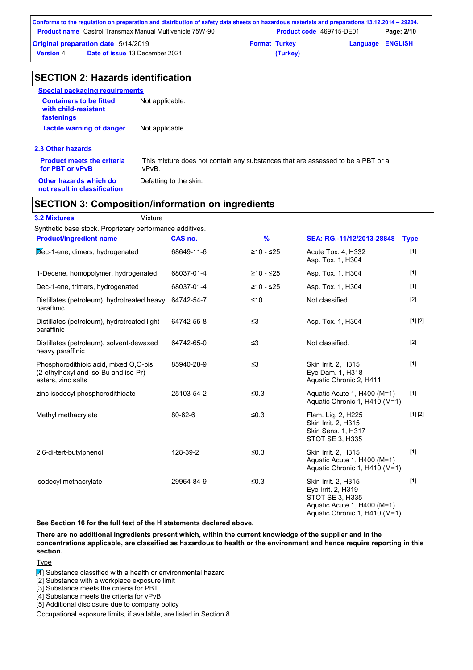|                                            | Conforms to the regulation on preparation and distribution of safety data sheets on hazardous materials and preparations 13.12.2014 – 29204. |                      |                                 |                         |            |
|--------------------------------------------|----------------------------------------------------------------------------------------------------------------------------------------------|----------------------|---------------------------------|-------------------------|------------|
|                                            | <b>Product name</b> Castrol Transmax Manual Multivehicle 75W-90                                                                              |                      | <b>Product code</b> 469715-DE01 |                         | Page: 2/10 |
| <b>Original preparation date 5/14/2019</b> |                                                                                                                                              | <b>Format Turkey</b> |                                 | <b>Language ENGLISH</b> |            |
| <b>Version 4</b>                           | <b>Date of issue 13 December 2021</b>                                                                                                        |                      | (Turkey)                        |                         |            |

# **SECTION 2: Hazards identification**

| <b>Special packaging requirements</b>                                |                                                                                          |
|----------------------------------------------------------------------|------------------------------------------------------------------------------------------|
| <b>Containers to be fitted</b><br>with child-resistant<br>fastenings | Not applicable.                                                                          |
| <b>Tactile warning of danger</b>                                     | Not applicable.                                                                          |
| 2.3 Other hazards                                                    |                                                                                          |
| <b>Product meets the criteria</b><br>for PBT or vPvB                 | This mixture does not contain any substances that are assessed to be a PBT or a<br>vPvB. |
| Other hazards which do                                               | Defatting to the skin.                                                                   |

## **SECTION 3: Composition/information on ingredients**

**3.2 Mixtures** Mixture

**not result in classification**

Synthetic base stock. Proprietary performance additives.

| <b>Product/ingredient name</b>                                                                      | CAS no.    | $\frac{9}{6}$ | SEA: RG.-11/12/2013-28848                                                                                                    | <b>Type</b> |
|-----------------------------------------------------------------------------------------------------|------------|---------------|------------------------------------------------------------------------------------------------------------------------------|-------------|
| Dec-1-ene, dimers, hydrogenated                                                                     | 68649-11-6 | $≥10 - ≤25$   | Acute Tox. 4, H332<br>Asp. Tox. 1, H304                                                                                      | $[1]$       |
| 1-Decene, homopolymer, hydrogenated                                                                 | 68037-01-4 | $≥10 - ≤25$   | Asp. Tox. 1, H304                                                                                                            | $[1]$       |
| Dec-1-ene, trimers, hydrogenated                                                                    | 68037-01-4 | $≥10 - ≤25$   | Asp. Tox. 1, H304                                                                                                            | $[1]$       |
| Distillates (petroleum), hydrotreated heavy<br>paraffinic                                           | 64742-54-7 | $≤10$         | Not classified.                                                                                                              | $[2]$       |
| Distillates (petroleum), hydrotreated light<br>paraffinic                                           | 64742-55-8 | $\leq$ 3      | Asp. Tox. 1, H304                                                                                                            | [1] [2]     |
| Distillates (petroleum), solvent-dewaxed<br>heavy paraffinic                                        | 64742-65-0 | $\leq$ 3      | Not classified.                                                                                                              | $[2]$       |
| Phosphorodithioic acid, mixed O,O-bis<br>(2-ethylhexyl and iso-Bu and iso-Pr)<br>esters, zinc salts | 85940-28-9 | $\leq$ 3      | Skin Irrit. 2, H315<br>Eye Dam. 1, H318<br>Aquatic Chronic 2, H411                                                           | $[1]$       |
| zinc isodecyl phosphorodithioate                                                                    | 25103-54-2 | ≤ $0.3$       | Aquatic Acute 1, H400 (M=1)<br>Aquatic Chronic 1, H410 (M=1)                                                                 | $[1]$       |
| Methyl methacrylate                                                                                 | 80-62-6    | ≤ $0.3$       | Flam. Liq. 2, H225<br>Skin Irrit. 2, H315<br><b>Skin Sens. 1, H317</b><br><b>STOT SE 3, H335</b>                             | [1] [2]     |
| 2,6-di-tert-butylphenol                                                                             | 128-39-2   | ≤ $0.3$       | Skin Irrit. 2, H315<br>Aquatic Acute 1, H400 (M=1)<br>Aquatic Chronic 1, H410 (M=1)                                          | $[1]$       |
| isodecyl methacrylate                                                                               | 29964-84-9 | ≤0.3          | Skin Irrit. 2, H315<br>Eye Irrit. 2, H319<br>STOT SE 3, H335<br>Aquatic Acute 1, H400 (M=1)<br>Aquatic Chronic 1, H410 (M=1) | $[1]$       |

**See Section 16 for the full text of the H statements declared above.**

**There are no additional ingredients present which, within the current knowledge of the supplier and in the concentrations applicable, are classified as hazardous to health or the environment and hence require reporting in this section.**

Type

 $\boxed{1}$  Substance classified with a health or environmental hazard

[2] Substance with a workplace exposure limit

[3] Substance meets the criteria for PBT

[4] Substance meets the criteria for vPvB [5] Additional disclosure due to company policy

Occupational exposure limits, if available, are listed in Section 8.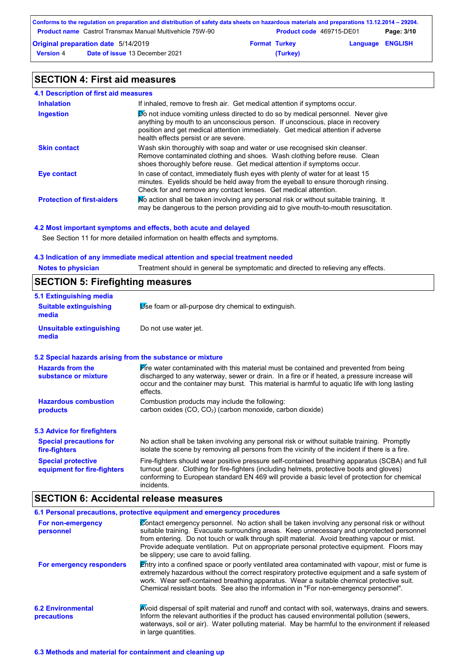|                  | Conforms to the regulation on preparation and distribution of safety data sheets on hazardous materials and preparations 13.12.2014 – 29204. |                      |                          |                         |            |
|------------------|----------------------------------------------------------------------------------------------------------------------------------------------|----------------------|--------------------------|-------------------------|------------|
|                  | <b>Product name</b> Castrol Transmax Manual Multivehicle 75W-90                                                                              |                      | Product code 469715-DE01 |                         | Page: 3/10 |
|                  | <b>Original preparation date 5/14/2019</b>                                                                                                   | <b>Format Turkey</b> |                          | <b>Language ENGLISH</b> |            |
| <b>Version 4</b> | <b>Date of issue 13 December 2021</b>                                                                                                        |                      | (Turkey)                 |                         |            |

# **SECTION 4: First aid measures**

| 4.1 Description of first aid measures |
|---------------------------------------|
|---------------------------------------|

| <b>Inhalation</b>                 | If inhaled, remove to fresh air. Get medical attention if symptoms occur.                                                                                                                                                                                                                             |
|-----------------------------------|-------------------------------------------------------------------------------------------------------------------------------------------------------------------------------------------------------------------------------------------------------------------------------------------------------|
| <b>Ingestion</b>                  | <b>Do</b> not induce vomiting unless directed to do so by medical personnel. Never give<br>anything by mouth to an unconscious person. If unconscious, place in recovery<br>position and get medical attention immediately. Get medical attention if adverse<br>health effects persist or are severe. |
| <b>Skin contact</b>               | Wash skin thoroughly with soap and water or use recognised skin cleanser.<br>Remove contaminated clothing and shoes. Wash clothing before reuse. Clean<br>shoes thoroughly before reuse. Get medical attention if symptoms occur.                                                                     |
| Eye contact                       | In case of contact, immediately flush eyes with plenty of water for at least 15<br>minutes. Eyelids should be held away from the eyeball to ensure thorough rinsing.<br>Check for and remove any contact lenses. Get medical attention.                                                               |
| <b>Protection of first-aiders</b> | No action shall be taken involving any personal risk or without suitable training. It<br>may be dangerous to the person providing aid to give mouth-to-mouth resuscitation.                                                                                                                           |

#### **4.2 Most important symptoms and effects, both acute and delayed**

See Section 11 for more detailed information on health effects and symptoms.

#### **4.3 Indication of any immediate medical attention and special treatment needed**

| <b>Notes to physician</b> | Treatment should in general be symptomatic and directed to relieving any effects. |
|---------------------------|-----------------------------------------------------------------------------------|
|                           |                                                                                   |

# **SECTION 5: Firefighting measures**

| 5.1 Extinguishing media                |                                                     |
|----------------------------------------|-----------------------------------------------------|
| <b>Suitable extinguishing</b><br>media | Use foam or all-purpose dry chemical to extinguish. |
| Unsuitable extinguishing<br>media      | Do not use water jet.                               |

#### **5.2 Special hazards arising from the substance or mixture**

| <b>Hazards from the</b><br>substance or mixture          | Fire water contaminated with this material must be contained and prevented from being<br>discharged to any waterway, sewer or drain. In a fire or if heated, a pressure increase will<br>occur and the container may burst. This material is harmful to aquatic life with long lasting<br>effects.        |
|----------------------------------------------------------|-----------------------------------------------------------------------------------------------------------------------------------------------------------------------------------------------------------------------------------------------------------------------------------------------------------|
| <b>Hazardous combustion</b><br>products                  | Combustion products may include the following:<br>carbon oxides (CO, CO <sub>2</sub> ) (carbon monoxide, carbon dioxide)                                                                                                                                                                                  |
| <b>5.3 Advice for firefighters</b>                       |                                                                                                                                                                                                                                                                                                           |
| <b>Special precautions for</b><br>fire-fighters          | No action shall be taken involving any personal risk or without suitable training. Promptly<br>isolate the scene by removing all persons from the vicinity of the incident if there is a fire.                                                                                                            |
| <b>Special protective</b><br>equipment for fire-fighters | Fire-fighters should wear positive pressure self-contained breathing apparatus (SCBA) and full<br>turnout gear. Clothing for fire-fighters (including helmets, protective boots and gloves)<br>conforming to European standard EN 469 will provide a basic level of protection for chemical<br>incidents. |

# **SECTION 6: Accidental release measures**

|                                         | 6.1 Personal precautions, protective equipment and emergency procedures                                                                                                                                                                                                                                                                                                                                                           |
|-----------------------------------------|-----------------------------------------------------------------------------------------------------------------------------------------------------------------------------------------------------------------------------------------------------------------------------------------------------------------------------------------------------------------------------------------------------------------------------------|
| For non-emergency<br>personnel          | Contact emergency personnel. No action shall be taken involving any personal risk or without<br>suitable training. Evacuate surrounding areas. Keep unnecessary and unprotected personnel<br>from entering. Do not touch or walk through spilt material. Avoid breathing vapour or mist.<br>Provide adequate ventilation. Put on appropriate personal protective equipment. Floors may<br>be slippery; use care to avoid falling. |
| For emergency responders                | $\mathbf{\mathsf{E}}$ ntry into a confined space or poorly ventilated area contaminated with vapour, mist or fume is<br>extremely hazardous without the correct respiratory protective equipment and a safe system of<br>work. Wear self-contained breathing apparatus. Wear a suitable chemical protective suit.<br>Chemical resistant boots. See also the information in "For non-emergency personnel".                         |
| <b>6.2 Environmental</b><br>precautions | Avoid dispersal of spilt material and runoff and contact with soil, waterways, drains and sewers.<br>Inform the relevant authorities if the product has caused environmental pollution (sewers,<br>waterways, soil or air). Water polluting material. May be harmful to the environment if released<br>in large quantities.                                                                                                       |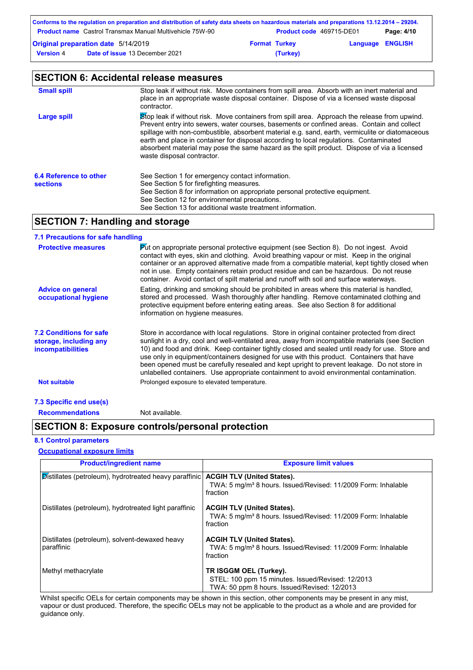|                  | Conforms to the regulation on preparation and distribution of safety data sheets on hazardous materials and preparations 13.12.2014 – 29204. |                      |                          |                         |            |
|------------------|----------------------------------------------------------------------------------------------------------------------------------------------|----------------------|--------------------------|-------------------------|------------|
|                  | <b>Product name</b> Castrol Transmax Manual Multivehicle 75W-90                                                                              |                      | Product code 469715-DE01 |                         | Page: 4/10 |
|                  | Original preparation date 5/14/2019                                                                                                          | <b>Format Turkey</b> |                          | <b>Language ENGLISH</b> |            |
| <b>Version 4</b> | <b>Date of issue 13 December 2021</b>                                                                                                        |                      | (Turkey)                 |                         |            |

|                                           | <b>SECTION 6: Accidental release measures</b>                                                                                                                                                                                                                                                                                                                                                                                                                                                                         |
|-------------------------------------------|-----------------------------------------------------------------------------------------------------------------------------------------------------------------------------------------------------------------------------------------------------------------------------------------------------------------------------------------------------------------------------------------------------------------------------------------------------------------------------------------------------------------------|
| <b>Small spill</b>                        | Stop leak if without risk. Move containers from spill area. Absorb with an inert material and<br>place in an appropriate waste disposal container. Dispose of via a licensed waste disposal<br>contractor.                                                                                                                                                                                                                                                                                                            |
| Large spill                               | Stop leak if without risk. Move containers from spill area. Approach the release from upwind.<br>Prevent entry into sewers, water courses, basements or confined areas. Contain and collect<br>spillage with non-combustible, absorbent material e.g. sand, earth, vermiculite or diatomaceous<br>earth and place in container for disposal according to local regulations. Contaminated<br>absorbent material may pose the same hazard as the spilt product. Dispose of via a licensed<br>waste disposal contractor. |
| 6.4 Reference to other<br><b>sections</b> | See Section 1 for emergency contact information.<br>See Section 5 for firefighting measures.<br>See Section 8 for information on appropriate personal protective equipment.<br>See Section 12 for environmental precautions.<br>See Section 13 for additional waste treatment information.                                                                                                                                                                                                                            |

# **SECTION 7: Handling and storage**

| 7.1 Precautions for safe handling                                                    |                                                                                                                                                                                                                                                                                                                                                                                                                                                                                                                                                                                             |
|--------------------------------------------------------------------------------------|---------------------------------------------------------------------------------------------------------------------------------------------------------------------------------------------------------------------------------------------------------------------------------------------------------------------------------------------------------------------------------------------------------------------------------------------------------------------------------------------------------------------------------------------------------------------------------------------|
| <b>Protective measures</b>                                                           | $\triangleright$ to appropriate personal protective equipment (see Section 8). Do not ingest. Avoid<br>contact with eyes, skin and clothing. Avoid breathing vapour or mist. Keep in the original<br>container or an approved alternative made from a compatible material, kept tightly closed when<br>not in use. Empty containers retain product residue and can be hazardous. Do not reuse<br>container. Avoid contact of spilt material and runoff with soil and surface waterways.                                                                                                     |
| <b>Advice on general</b><br>occupational hygiene                                     | Eating, drinking and smoking should be prohibited in areas where this material is handled,<br>stored and processed. Wash thoroughly after handling. Remove contaminated clothing and<br>protective equipment before entering eating areas. See also Section 8 for additional<br>information on hygiene measures.                                                                                                                                                                                                                                                                            |
| <b>7.2 Conditions for safe</b><br>storage, including any<br><i>incompatibilities</i> | Store in accordance with local regulations. Store in original container protected from direct<br>sunlight in a dry, cool and well-ventilated area, away from incompatible materials (see Section<br>10) and food and drink. Keep container tightly closed and sealed until ready for use. Store and<br>use only in equipment/containers designed for use with this product. Containers that have<br>been opened must be carefully resealed and kept upright to prevent leakage. Do not store in<br>unlabelled containers. Use appropriate containment to avoid environmental contamination. |
| <b>Not suitable</b>                                                                  | Prolonged exposure to elevated temperature.                                                                                                                                                                                                                                                                                                                                                                                                                                                                                                                                                 |
| 7.3 Specific end use(s)                                                              |                                                                                                                                                                                                                                                                                                                                                                                                                                                                                                                                                                                             |

#### **Recommendations** Not available.

### **SECTION 8: Exposure controls/personal protection**

#### **8.1 Control parameters**

#### **Occupational exposure limits**

| <b>Product/ingredient name</b>                               | <b>Exposure limit values</b>                                                                                                |
|--------------------------------------------------------------|-----------------------------------------------------------------------------------------------------------------------------|
| Distillates (petroleum), hydrotreated heavy paraffinic       | <b>ACGIH TLV (United States).</b><br>TWA: 5 mg/m <sup>3</sup> 8 hours. Issued/Revised: 11/2009 Form: Inhalable<br>fraction  |
| Distillates (petroleum), hydrotreated light paraffinic       | <b>ACGIH TLV (United States).</b><br>TWA: 5 mg/m <sup>3</sup> 8 hours. Issued/Revised: 11/2009 Form: Inhalable<br>fraction  |
| Distillates (petroleum), solvent-dewaxed heavy<br>paraffinic | <b>ACGIH TLV (United States).</b><br>TWA: 5 mg/m <sup>3</sup> 8 hours. Issued/Revised: 11/2009 Form: Inhalable<br>fraction  |
| Methyl methacrylate                                          | TR ISGGM OEL (Turkey).<br>STEL: 100 ppm 15 minutes. Issued/Revised: 12/2013<br>TWA: 50 ppm 8 hours. Issued/Revised: 12/2013 |

Whilst specific OELs for certain components may be shown in this section, other components may be present in any mist, vapour or dust produced. Therefore, the specific OELs may not be applicable to the product as a whole and are provided for guidance only.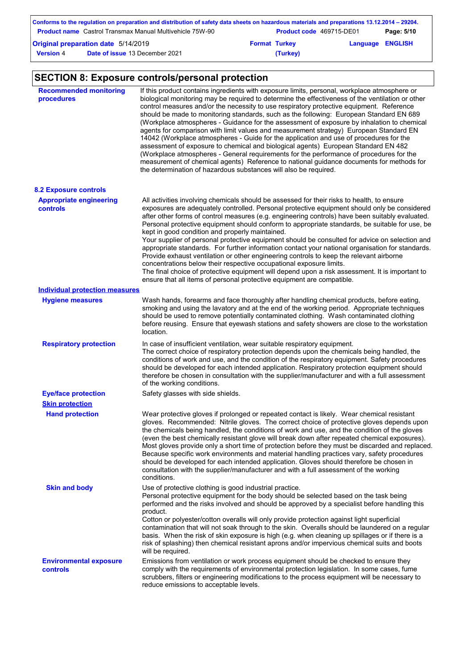|                  | Conforms to the regulation on preparation and distribution of safety data sheets on hazardous materials and preparations 13.12.2014 – 29204. |                      |                          |                         |            |
|------------------|----------------------------------------------------------------------------------------------------------------------------------------------|----------------------|--------------------------|-------------------------|------------|
|                  | <b>Product name</b> Castrol Transmax Manual Multivehicle 75W-90                                                                              |                      | Product code 469715-DE01 |                         | Page: 5/10 |
|                  | Original preparation date 5/14/2019                                                                                                          | <b>Format Turkey</b> |                          | <b>Language ENGLISH</b> |            |
| <b>Version 4</b> | <b>Date of issue 13 December 2021</b>                                                                                                        |                      | (Turkey)                 |                         |            |

# **SECTION 8: Exposure controls/personal protection**

| <b>Recommended monitoring</b><br>procedures       | If this product contains ingredients with exposure limits, personal, workplace atmosphere or<br>biological monitoring may be required to determine the effectiveness of the ventilation or other<br>control measures and/or the necessity to use respiratory protective equipment. Reference<br>should be made to monitoring standards, such as the following: European Standard EN 689<br>(Workplace atmospheres - Guidance for the assessment of exposure by inhalation to chemical<br>agents for comparison with limit values and measurement strategy) European Standard EN<br>14042 (Workplace atmospheres - Guide for the application and use of procedures for the<br>assessment of exposure to chemical and biological agents) European Standard EN 482<br>(Workplace atmospheres - General requirements for the performance of procedures for the<br>measurement of chemical agents) Reference to national guidance documents for methods for<br>the determination of hazardous substances will also be required. |
|---------------------------------------------------|----------------------------------------------------------------------------------------------------------------------------------------------------------------------------------------------------------------------------------------------------------------------------------------------------------------------------------------------------------------------------------------------------------------------------------------------------------------------------------------------------------------------------------------------------------------------------------------------------------------------------------------------------------------------------------------------------------------------------------------------------------------------------------------------------------------------------------------------------------------------------------------------------------------------------------------------------------------------------------------------------------------------------|
| <b>8.2 Exposure controls</b>                      |                                                                                                                                                                                                                                                                                                                                                                                                                                                                                                                                                                                                                                                                                                                                                                                                                                                                                                                                                                                                                            |
| <b>Appropriate engineering</b><br><b>controls</b> | All activities involving chemicals should be assessed for their risks to health, to ensure<br>exposures are adequately controlled. Personal protective equipment should only be considered<br>after other forms of control measures (e.g. engineering controls) have been suitably evaluated.<br>Personal protective equipment should conform to appropriate standards, be suitable for use, be<br>kept in good condition and properly maintained.<br>Your supplier of personal protective equipment should be consulted for advice on selection and<br>appropriate standards. For further information contact your national organisation for standards.<br>Provide exhaust ventilation or other engineering controls to keep the relevant airborne<br>concentrations below their respective occupational exposure limits.<br>The final choice of protective equipment will depend upon a risk assessment. It is important to<br>ensure that all items of personal protective equipment are compatible.                    |
| <b>Individual protection measures</b>             |                                                                                                                                                                                                                                                                                                                                                                                                                                                                                                                                                                                                                                                                                                                                                                                                                                                                                                                                                                                                                            |
| <b>Hygiene measures</b>                           | Wash hands, forearms and face thoroughly after handling chemical products, before eating,<br>smoking and using the lavatory and at the end of the working period. Appropriate techniques<br>should be used to remove potentially contaminated clothing. Wash contaminated clothing<br>before reusing. Ensure that eyewash stations and safety showers are close to the workstation<br>location.                                                                                                                                                                                                                                                                                                                                                                                                                                                                                                                                                                                                                            |
| <b>Respiratory protection</b>                     | In case of insufficient ventilation, wear suitable respiratory equipment.<br>The correct choice of respiratory protection depends upon the chemicals being handled, the<br>conditions of work and use, and the condition of the respiratory equipment. Safety procedures<br>should be developed for each intended application. Respiratory protection equipment should<br>therefore be chosen in consultation with the supplier/manufacturer and with a full assessment<br>of the working conditions.                                                                                                                                                                                                                                                                                                                                                                                                                                                                                                                      |
| <b>Eye/face protection</b>                        | Safety glasses with side shields.                                                                                                                                                                                                                                                                                                                                                                                                                                                                                                                                                                                                                                                                                                                                                                                                                                                                                                                                                                                          |
| <b>Skin protection</b>                            |                                                                                                                                                                                                                                                                                                                                                                                                                                                                                                                                                                                                                                                                                                                                                                                                                                                                                                                                                                                                                            |
| <b>Hand protection</b>                            | Wear protective gloves if prolonged or repeated contact is likely. Wear chemical resistant<br>gloves. Recommended: Nitrile gloves. The correct choice of protective gloves depends upon<br>the chemicals being handled, the conditions of work and use, and the condition of the gloves<br>(even the best chemically resistant glove will break down after repeated chemical exposures).<br>Most gloves provide only a short time of protection before they must be discarded and replaced.<br>Because specific work environments and material handling practices vary, safety procedures<br>should be developed for each intended application. Gloves should therefore be chosen in<br>consultation with the supplier/manufacturer and with a full assessment of the working<br>conditions.                                                                                                                                                                                                                               |
| <b>Skin and body</b>                              | Use of protective clothing is good industrial practice.<br>Personal protective equipment for the body should be selected based on the task being<br>performed and the risks involved and should be approved by a specialist before handling this<br>product.<br>Cotton or polyester/cotton overalls will only provide protection against light superficial<br>contamination that will not soak through to the skin. Overalls should be laundered on a regular<br>basis. When the risk of skin exposure is high (e.g. when cleaning up spillages or if there is a<br>risk of splashing) then chemical resistant aprons and/or impervious chemical suits and boots<br>will be required.                                                                                                                                                                                                                                                                                                                                      |
| <b>Environmental exposure</b><br>controls         | Emissions from ventilation or work process equipment should be checked to ensure they<br>comply with the requirements of environmental protection legislation. In some cases, fume<br>scrubbers, filters or engineering modifications to the process equipment will be necessary to<br>reduce emissions to acceptable levels.                                                                                                                                                                                                                                                                                                                                                                                                                                                                                                                                                                                                                                                                                              |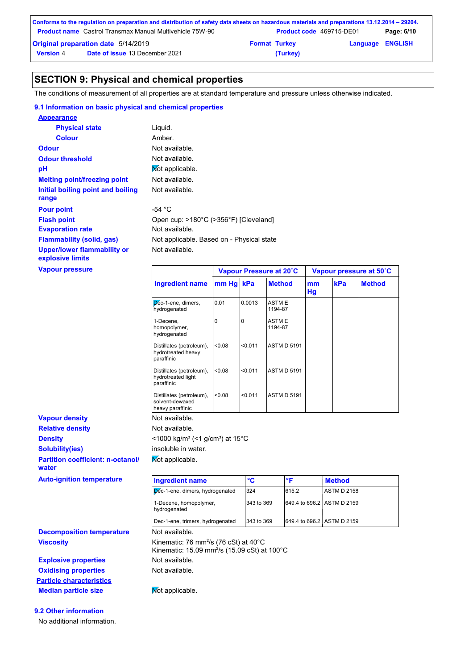|                  | Conforms to the regulation on preparation and distribution of safety data sheets on hazardous materials and preparations 13.12.2014 – 29204. |                      |                                 |                         |            |
|------------------|----------------------------------------------------------------------------------------------------------------------------------------------|----------------------|---------------------------------|-------------------------|------------|
|                  | <b>Product name</b> Castrol Transmax Manual Multivehicle 75W-90                                                                              |                      | <b>Product code</b> 469715-DE01 |                         | Page: 6/10 |
|                  | <b>Original preparation date 5/14/2019</b>                                                                                                   | <b>Format Turkey</b> |                                 | <b>Language ENGLISH</b> |            |
| <b>Version 4</b> | <b>Date of issue 13 December 2021</b>                                                                                                        |                      | (Turkey)                        |                         |            |

### **SECTION 9: Physical and chemical properties**

The conditions of measurement of all properties are at standard temperature and pressure unless otherwise indicated.

#### **9.1 Information on basic physical and chemical properties**

| <b>Appearance</b>                                      |                                           |
|--------------------------------------------------------|-------------------------------------------|
| <b>Physical state</b>                                  | Liquid.                                   |
| Colour                                                 | Amber.                                    |
| <b>Odour</b>                                           | Not available.                            |
| <b>Odour threshold</b>                                 | Not available.                            |
| рH                                                     | Mot applicable.                           |
| <b>Melting point/freezing point</b>                    | Not available.                            |
| Initial boiling point and boiling                      | Not available.                            |
| range                                                  |                                           |
| <b>Pour point</b>                                      | -54 °C                                    |
| <b>Flash point</b>                                     | Open cup: >180°C (>356°F) [Cleveland]     |
| <b>Evaporation rate</b>                                | Not available.                            |
| <b>Flammability (solid, gas)</b>                       | Not applicable. Based on - Physical state |
| <b>Upper/lower flammability or</b><br>explosive limits | Not available.                            |

**Vapour pressure**

|                                                                 |           | Vapour Pressure at 20°C |                         |          | Vapour pressure at 50°C |               |  |
|-----------------------------------------------------------------|-----------|-------------------------|-------------------------|----------|-------------------------|---------------|--|
| <b>Ingredient name</b>                                          | mm Hg kPa |                         | <b>Method</b>           | mm<br>Hg | kPa                     | <b>Method</b> |  |
| Dec-1-ene, dimers,<br>hydrogenated                              | 0.01      | 0.0013                  | <b>ASTME</b><br>1194-87 |          |                         |               |  |
| 1-Decene,<br>homopolymer,<br>hydrogenated                       | $\Omega$  | $\Omega$                | <b>ASTME</b><br>1194-87 |          |                         |               |  |
| Distillates (petroleum),<br>hydrotreated heavy<br>paraffinic    | <0.08     | < 0.011                 | <b>ASTM D 5191</b>      |          |                         |               |  |
| Distillates (petroleum),<br>hydrotreated light<br>paraffinic    | < 0.08    | < 0.011                 | <b>ASTM D 5191</b>      |          |                         |               |  |
| Distillates (petroleum),<br>solvent-dewaxed<br>heavy paraffinic | < 0.08    | < 0.011                 | <b>ASTM D 5191</b>      |          |                         |               |  |
| Not available.                                                  |           |                         |                         |          |                         |               |  |
| Not available.                                                  |           |                         |                         |          |                         |               |  |

#### **Relative density Vapour density Density**  $\leq 1000 \text{ kg/m}^3 \leq 1 \text{ g/cm}^3$  at 15°C **Solubility(ies)** insoluble in water.

**Partition coefficient: n-octanol/ water**

**Auto-ignition temperature** 

| <b>Ingredient name</b>                 | °C         | ∘⊏                         | <b>Method</b> |
|----------------------------------------|------------|----------------------------|---------------|
| Dec-1-ene, dimers, hydrogenated        | 324        | 615.2                      | ASTM D 2158   |
| 1-Decene, homopolymer,<br>hydrogenated | 343 to 369 | 649.4 to 696.2 ASTM D 2159 |               |
| Dec-1-ene, trimers, hydrogenated       | 343 to 369 | 649.4 to 696.2 ASTM D 2159 |               |

Kinematic: 15.09 mm<sup>2</sup> /s (15.09 cSt) at 100°C

**Viscosity Kinematic: 76 mm²/s (76 cSt) at 40°C Decomposition temperature** Not available.

**Explosive properties Oxidising properties** Not available. **Particle characteristics Median particle size** Not applicable.

**9.2 Other information** No additional information.

Not available.

Not applicable.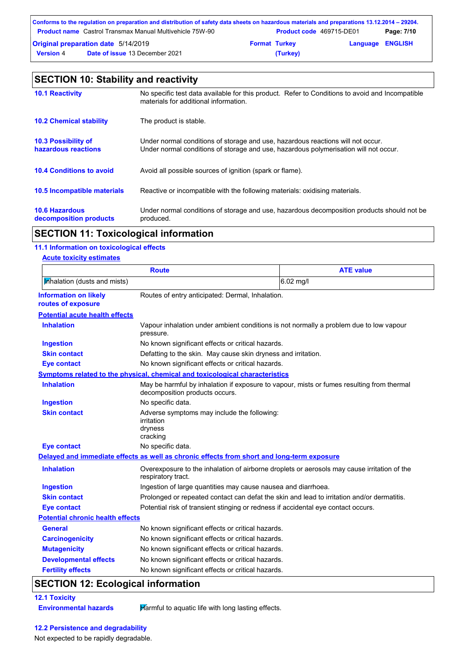|                  | Conforms to the regulation on preparation and distribution of safety data sheets on hazardous materials and preparations 13.12.2014 – 29204. |                      |                                 |                         |            |
|------------------|----------------------------------------------------------------------------------------------------------------------------------------------|----------------------|---------------------------------|-------------------------|------------|
|                  | <b>Product name</b> Castrol Transmax Manual Multivehicle 75W-90                                                                              |                      | <b>Product code</b> 469715-DE01 |                         | Page: 7/10 |
|                  | <b>Original preparation date 5/14/2019</b>                                                                                                   | <b>Format Turkey</b> |                                 | <b>Language ENGLISH</b> |            |
| <b>Version 4</b> | <b>Date of issue 13 December 2021</b>                                                                                                        |                      | (Turkey)                        |                         |            |

| <b>SECTION 10: Stability and reactivity</b>       |                                                                                                                                                                         |  |  |
|---------------------------------------------------|-------------------------------------------------------------------------------------------------------------------------------------------------------------------------|--|--|
| <b>10.1 Reactivity</b>                            | No specific test data available for this product. Refer to Conditions to avoid and Incompatible<br>materials for additional information.                                |  |  |
| <b>10.2 Chemical stability</b>                    | The product is stable.                                                                                                                                                  |  |  |
| <b>10.3 Possibility of</b><br>hazardous reactions | Under normal conditions of storage and use, hazardous reactions will not occur.<br>Under normal conditions of storage and use, hazardous polymerisation will not occur. |  |  |
| <b>10.4 Conditions to avoid</b>                   | Avoid all possible sources of ignition (spark or flame).                                                                                                                |  |  |
| 10.5 Incompatible materials                       | Reactive or incompatible with the following materials: oxidising materials.                                                                                             |  |  |
| <b>10.6 Hazardous</b><br>decomposition products   | Under normal conditions of storage and use, hazardous decomposition products should not be<br>produced.                                                                 |  |  |

# **SECTION 11: Toxicological information**

#### **11.1 Information on toxicological effects Acute toxicity estimates**

| <u>ACUTE TOXICITY ESTIMATES</u>                    | <b>Route</b>                                                                                        | <b>ATE value</b>                                                                            |  |
|----------------------------------------------------|-----------------------------------------------------------------------------------------------------|---------------------------------------------------------------------------------------------|--|
|                                                    |                                                                                                     |                                                                                             |  |
| Mhalation (dusts and mists)                        |                                                                                                     | 6.02 mg/l                                                                                   |  |
| <b>Information on likely</b><br>routes of exposure | Routes of entry anticipated: Dermal, Inhalation.                                                    |                                                                                             |  |
| <b>Potential acute health effects</b>              |                                                                                                     |                                                                                             |  |
| <b>Inhalation</b>                                  | Vapour inhalation under ambient conditions is not normally a problem due to low vapour<br>pressure. |                                                                                             |  |
| <b>Ingestion</b>                                   | No known significant effects or critical hazards.                                                   |                                                                                             |  |
| <b>Skin contact</b>                                | Defatting to the skin. May cause skin dryness and irritation.                                       |                                                                                             |  |
| <b>Eye contact</b>                                 | No known significant effects or critical hazards.                                                   |                                                                                             |  |
|                                                    | <b>Symptoms related to the physical, chemical and toxicological characteristics</b>                 |                                                                                             |  |
| <b>Inhalation</b>                                  | decomposition products occurs.                                                                      | May be harmful by inhalation if exposure to vapour, mists or fumes resulting from thermal   |  |
| <b>Ingestion</b>                                   | No specific data.                                                                                   |                                                                                             |  |
| <b>Skin contact</b>                                | Adverse symptoms may include the following:<br>irritation<br>dryness<br>cracking                    |                                                                                             |  |
| <b>Eye contact</b>                                 | No specific data.                                                                                   |                                                                                             |  |
|                                                    | Delayed and immediate effects as well as chronic effects from short and long-term exposure          |                                                                                             |  |
| <b>Inhalation</b>                                  | respiratory tract.                                                                                  | Overexposure to the inhalation of airborne droplets or aerosols may cause irritation of the |  |
| <b>Ingestion</b>                                   | Ingestion of large quantities may cause nausea and diarrhoea.                                       |                                                                                             |  |
| <b>Skin contact</b>                                |                                                                                                     | Prolonged or repeated contact can defat the skin and lead to irritation and/or dermatitis.  |  |
| <b>Eye contact</b>                                 |                                                                                                     | Potential risk of transient stinging or redness if accidental eye contact occurs.           |  |
| <b>Potential chronic health effects</b>            |                                                                                                     |                                                                                             |  |
| <b>General</b>                                     | No known significant effects or critical hazards.                                                   |                                                                                             |  |
| <b>Carcinogenicity</b>                             | No known significant effects or critical hazards.                                                   |                                                                                             |  |
| <b>Mutagenicity</b>                                | No known significant effects or critical hazards.                                                   |                                                                                             |  |
| <b>Developmental effects</b>                       | No known significant effects or critical hazards.                                                   |                                                                                             |  |
| <b>Fertility effects</b>                           | No known significant effects or critical hazards.                                                   |                                                                                             |  |

# **SECTION 12: Ecological information**

# **12.1 Toxicity**

**Environmental hazards Harmful to aquatic life with long lasting effects.** 

#### **12.2 Persistence and degradability**

Not expected to be rapidly degradable.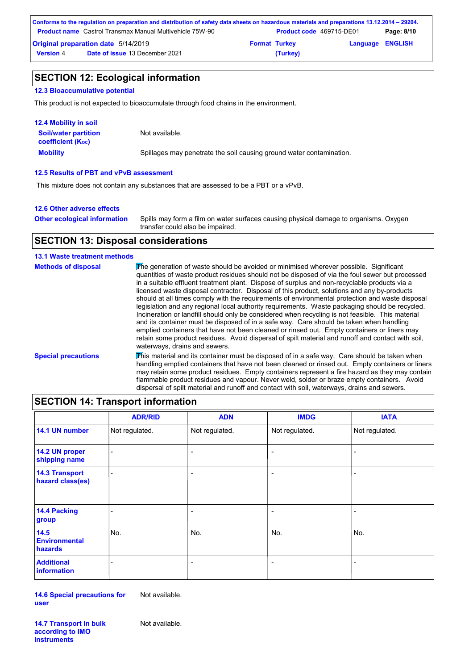|                  | Conforms to the regulation on preparation and distribution of safety data sheets on hazardous materials and preparations 13.12.2014 – 29204. |                      |                          |                         |            |
|------------------|----------------------------------------------------------------------------------------------------------------------------------------------|----------------------|--------------------------|-------------------------|------------|
|                  | <b>Product name</b> Castrol Transmax Manual Multivehicle 75W-90                                                                              |                      | Product code 469715-DE01 |                         | Page: 8/10 |
|                  | Original preparation date 5/14/2019                                                                                                          | <b>Format Turkey</b> |                          | <b>Language ENGLISH</b> |            |
| <b>Version 4</b> | <b>Date of issue 13 December 2021</b>                                                                                                        |                      | (Turkey)                 |                         |            |

## **SECTION 12: Ecological information**

#### **12.3 Bioaccumulative potential**

This product is not expected to bioaccumulate through food chains in the environment.

| <b>12.4 Mobility in soil</b>                                  |                                                                      |
|---------------------------------------------------------------|----------------------------------------------------------------------|
| <b>Soil/water partition</b><br>coefficient (K <sub>oc</sub> ) | Not available.                                                       |
| <b>Mobility</b>                                               | Spillages may penetrate the soil causing ground water contamination. |

#### **12.5 Results of PBT and vPvB assessment**

This mixture does not contain any substances that are assessed to be a PBT or a vPvB.

#### **12.6 Other adverse effects**

Spills may form a film on water surfaces causing physical damage to organisms. Oxygen transfer could also be impaired. **Other ecological information**

## **SECTION 13: Disposal considerations**

#### **13.1 Waste treatment methods**

| <b>Methods of disposal</b> | The generation of waste should be avoided or minimised wherever possible. Significant<br>quantities of waste product residues should not be disposed of via the foul sewer but processed<br>in a suitable effluent treatment plant. Dispose of surplus and non-recyclable products via a<br>licensed waste disposal contractor. Disposal of this product, solutions and any by-products<br>should at all times comply with the requirements of environmental protection and waste disposal<br>legislation and any regional local authority reguirements. Waste packaging should be recycled.<br>Incineration or landfill should only be considered when recycling is not feasible. This material<br>and its container must be disposed of in a safe way. Care should be taken when handling<br>emptied containers that have not been cleaned or rinsed out. Empty containers or liners may<br>retain some product residues. Avoid dispersal of spilt material and runoff and contact with soil.<br>waterways, drains and sewers. |
|----------------------------|----------------------------------------------------------------------------------------------------------------------------------------------------------------------------------------------------------------------------------------------------------------------------------------------------------------------------------------------------------------------------------------------------------------------------------------------------------------------------------------------------------------------------------------------------------------------------------------------------------------------------------------------------------------------------------------------------------------------------------------------------------------------------------------------------------------------------------------------------------------------------------------------------------------------------------------------------------------------------------------------------------------------------------|
| <b>Special precautions</b> | This material and its container must be disposed of in a safe way. Care should be taken when<br>handling emptied containers that have not been cleaned or rinsed out. Empty containers or liners<br>may retain some product residues. Empty containers represent a fire hazard as they may contain<br>flammable product residues and vapour. Never weld, solder or braze empty containers. Avoid<br>dispersal of spilt material and runoff and contact with soil, waterways, drains and sewers.                                                                                                                                                                                                                                                                                                                                                                                                                                                                                                                                  |

| <b>SECTION 14: Transport information</b>       |                |                          |                |                |
|------------------------------------------------|----------------|--------------------------|----------------|----------------|
|                                                | <b>ADR/RID</b> | <b>ADN</b>               | <b>IMDG</b>    | <b>IATA</b>    |
| 14.1 UN number                                 | Not regulated. | Not regulated.           | Not regulated. | Not regulated. |
| 14.2 UN proper<br>shipping name                |                | $\overline{\phantom{a}}$ | ٠              | ۰              |
| <b>14.3 Transport</b><br>hazard class(es)      |                | $\overline{\phantom{a}}$ | ٠              | ٠              |
| <b>14.4 Packing</b><br>group                   |                | $\overline{\phantom{a}}$ | ٠              |                |
| 14.5<br><b>Environmental</b><br><b>hazards</b> | No.            | No.                      | No.            | No.            |
| <b>Additional</b><br>information               |                | $\overline{\phantom{a}}$ | ٠              |                |

**14.6 Special precautions for user** Not available.

**14.7 Transport in bulk according to IMO instruments**

Not available.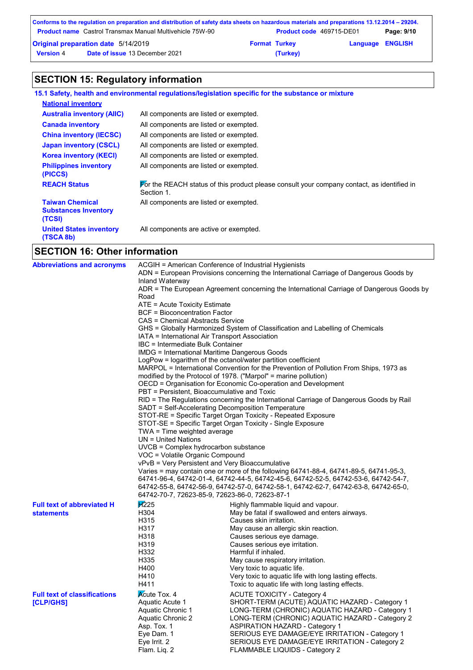|                  | Conforms to the regulation on preparation and distribution of safety data sheets on hazardous materials and preparations 13.12.2014 – 29204. |                      |                          |                         |            |
|------------------|----------------------------------------------------------------------------------------------------------------------------------------------|----------------------|--------------------------|-------------------------|------------|
|                  | <b>Product name</b> Castrol Transmax Manual Multivehicle 75W-90                                                                              |                      | Product code 469715-DE01 |                         | Page: 9/10 |
|                  | <b>Original preparation date 5/14/2019</b>                                                                                                   | <b>Format Turkey</b> |                          | <b>Language ENGLISH</b> |            |
| <b>Version 4</b> | <b>Date of issue 13 December 2021</b>                                                                                                        |                      | (Turkey)                 |                         |            |

# **SECTION 15: Regulatory information**

|                                                                 | 15.1 Safety, health and environmental regulations/legislation specific for the substance or mixture      |
|-----------------------------------------------------------------|----------------------------------------------------------------------------------------------------------|
| <b>National inventory</b>                                       |                                                                                                          |
| <b>Australia inventory (AIIC)</b>                               | All components are listed or exempted.                                                                   |
| <b>Canada inventory</b>                                         | All components are listed or exempted.                                                                   |
| <b>China inventory (IECSC)</b>                                  | All components are listed or exempted.                                                                   |
| <b>Japan inventory (CSCL)</b>                                   | All components are listed or exempted.                                                                   |
| <b>Korea inventory (KECI)</b>                                   | All components are listed or exempted.                                                                   |
| <b>Philippines inventory</b><br>(PICCS)                         | All components are listed or exempted.                                                                   |
| <b>REACH Status</b>                                             | For the REACH status of this product please consult your company contact, as identified in<br>Section 1. |
| <b>Taiwan Chemical</b><br><b>Substances Inventory</b><br>(TCSI) | All components are listed or exempted.                                                                   |
| <b>United States inventory</b><br>(TSCA 8b)                     | All components are active or exempted.                                                                   |
|                                                                 |                                                                                                          |

# **SECTION 16: Other information**

| <b>Abbreviations and acronyms</b>                      | ACGIH = American Conference of Industrial Hygienists<br>Inland Waterway<br>Road<br>ATE = Acute Toxicity Estimate<br>BCF = Bioconcentration Factor<br><b>CAS = Chemical Abstracts Service</b><br>IATA = International Air Transport Association<br>IBC = Intermediate Bulk Container<br>IMDG = International Maritime Dangerous Goods<br>PBT = Persistent, Bioaccumulative and Toxic<br>SADT = Self-Accelerating Decomposition Temperature<br>TWA = Time weighted average<br>$UN = United Nations$<br>UVCB = Complex hydrocarbon substance<br>VOC = Volatile Organic Compound<br>vPvB = Very Persistent and Very Bioaccumulative | ADN = European Provisions concerning the International Carriage of Dangerous Goods by<br>ADR = The European Agreement concerning the International Carriage of Dangerous Goods by<br>GHS = Globally Harmonized System of Classification and Labelling of Chemicals<br>LogPow = logarithm of the octanol/water partition coefficient<br>MARPOL = International Convention for the Prevention of Pollution From Ships, 1973 as<br>modified by the Protocol of 1978. ("Marpol" = marine pollution)<br>OECD = Organisation for Economic Co-operation and Development<br>RID = The Regulations concerning the International Carriage of Dangerous Goods by Rail<br>STOT-RE = Specific Target Organ Toxicity - Repeated Exposure<br>STOT-SE = Specific Target Organ Toxicity - Single Exposure<br>Varies = may contain one or more of the following $64741-88-4$ , $64741-89-5$ , $64741-95-3$ ,<br>64741-96-4, 64742-01-4, 64742-44-5, 64742-45-6, 64742-52-5, 64742-53-6, 64742-54-7, |
|--------------------------------------------------------|---------------------------------------------------------------------------------------------------------------------------------------------------------------------------------------------------------------------------------------------------------------------------------------------------------------------------------------------------------------------------------------------------------------------------------------------------------------------------------------------------------------------------------------------------------------------------------------------------------------------------------|-----------------------------------------------------------------------------------------------------------------------------------------------------------------------------------------------------------------------------------------------------------------------------------------------------------------------------------------------------------------------------------------------------------------------------------------------------------------------------------------------------------------------------------------------------------------------------------------------------------------------------------------------------------------------------------------------------------------------------------------------------------------------------------------------------------------------------------------------------------------------------------------------------------------------------------------------------------------------------------|
| <b>Full text of abbreviated H</b><br><b>statements</b> | 64742-70-7, 72623-85-9, 72623-86-0, 72623-87-1<br>$\cancel{H}225$<br>H304<br>H315<br>H317<br>H318<br>H319<br>H332<br>H335<br>H400<br>H410<br>H411                                                                                                                                                                                                                                                                                                                                                                                                                                                                               | Highly flammable liquid and vapour.<br>May be fatal if swallowed and enters airways.<br>Causes skin irritation.<br>May cause an allergic skin reaction.<br>Causes serious eye damage.<br>Causes serious eye irritation.<br>Harmful if inhaled.<br>May cause respiratory irritation.<br>Very toxic to aquatic life.<br>Very toxic to aquatic life with long lasting effects.<br>Toxic to aquatic life with long lasting effects.                                                                                                                                                                                                                                                                                                                                                                                                                                                                                                                                                   |
| <b>Full text of classifications</b><br>[CLP/GHS]       | <b>Acute Tox. 4</b><br>Aquatic Acute 1<br>Aquatic Chronic 1<br>Aquatic Chronic 2<br>Asp. Tox. 1<br>Eye Dam. 1<br>Eye Irrit. 2<br>Flam. Lig. 2                                                                                                                                                                                                                                                                                                                                                                                                                                                                                   | <b>ACUTE TOXICITY - Category 4</b><br>SHORT-TERM (ACUTE) AQUATIC HAZARD - Category 1<br>LONG-TERM (CHRONIC) AQUATIC HAZARD - Category 1<br>LONG-TERM (CHRONIC) AQUATIC HAZARD - Category 2<br><b>ASPIRATION HAZARD - Category 1</b><br>SERIOUS EYE DAMAGE/EYE IRRITATION - Category 1<br>SERIOUS EYE DAMAGE/EYE IRRITATION - Category 2<br>FLAMMABLE LIQUIDS - Category 2                                                                                                                                                                                                                                                                                                                                                                                                                                                                                                                                                                                                         |